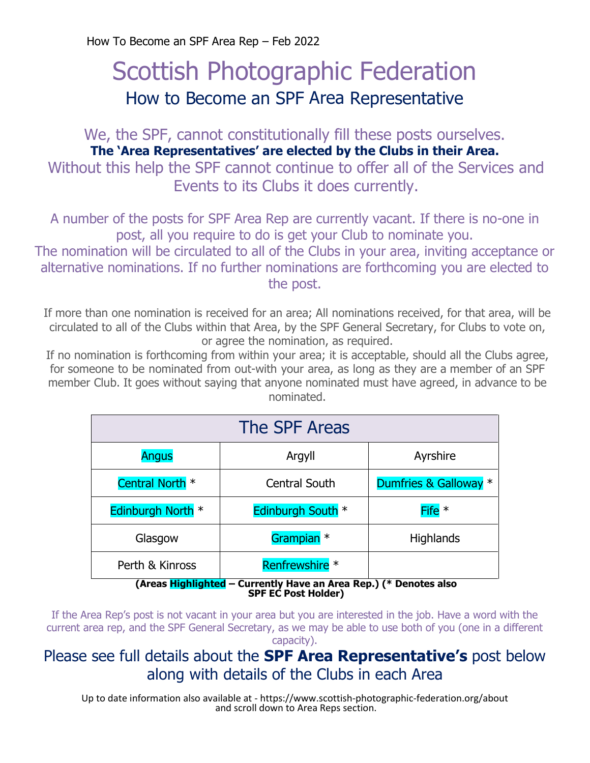How To Become an SPF Area Rep – Feb 2022

# Scottish Photographic Federation How to Become an SPF Area Representative

We, the SPF, cannot constitutionally fill these posts ourselves. **The 'Area Representatives' are elected by the Clubs in their Area.** Without this help the SPF cannot continue to offer all of the Services and Events to its Clubs it does currently.

A number of the posts for SPF Area Rep are currently vacant. If there is no-one in post, all you require to do is get your Club to nominate you.

The nomination will be circulated to all of the Clubs in your area, inviting acceptance or alternative nominations. If no further nominations are forthcoming you are elected to the post.

If more than one nomination is received for an area; All nominations received, for that area, will be circulated to all of the Clubs within that Area, by the SPF General Secretary, for Clubs to vote on, or agree the nomination, as required.

If no nomination is forthcoming from within your area; it is acceptable, should all the Clubs agree, for someone to be nominated from out-with your area, as long as they are a member of an SPF member Club. It goes without saying that anyone nominated must have agreed, in advance to be nominated.

| The SPF Areas                                                     |                           |                       |
|-------------------------------------------------------------------|---------------------------|-----------------------|
| <b>Angus</b>                                                      | Argyll                    | Ayrshire              |
| Central North <sup>*</sup>                                        | <b>Central South</b>      | Dumfries & Galloway * |
| Edinburgh North *                                                 | Edinburgh South *         | Fife $*$              |
| Glasgow                                                           | Grampian <sup>*</sup>     | <b>Highlands</b>      |
| Perth & Kinross                                                   | Renfrewshire <sup>*</sup> |                       |
| (Areas Highlighted – Currently Have an Area Rep.) (* Denotes also |                           |                       |

**SPF EC Post Holder)**

If the Area Rep's post is not vacant in your area but you are interested in the job. Have a word with the current area rep, and the SPF General Secretary, as we may be able to use both of you (one in a different capacity).

# Please see full details about the **SPF Area Representative's** post below along with details of the Clubs in each Area

Up to date information also available at - https://www.scottish-photographic-federation.org/about and scroll down to Area Reps section.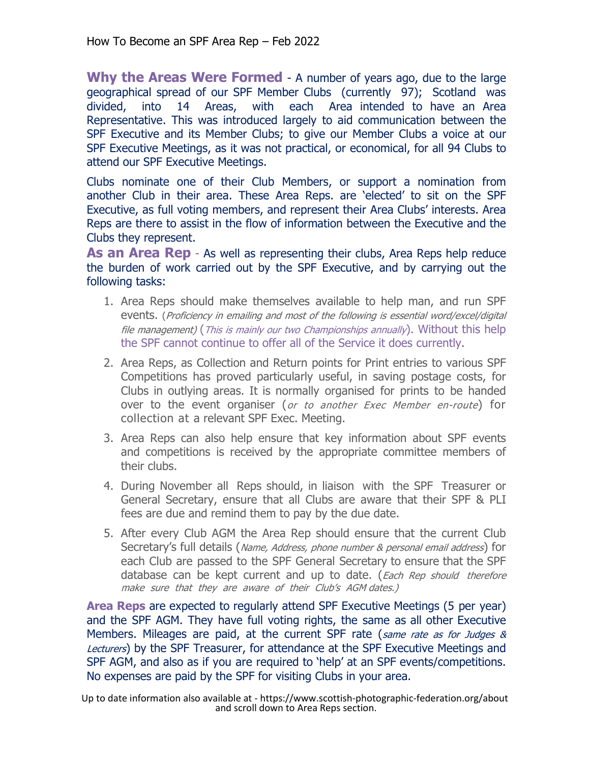**Why the Areas Were Formed** - A number of years ago, due to the large geographical spread of our SPF Member Clubs (currently 97); Scotland was divided, into 14 Areas, with each Area intended to have an Area Representative. This was introduced largely to aid communication between the SPF Executive and its Member Clubs; to give our Member Clubs a voice at our SPF Executive Meetings, as it was not practical, or economical, for all 94 Clubs to attend our SPF Executive Meetings.

Clubs nominate one of their Club Members, or support a nomination from another Club in their area. These Area Reps. are 'elected' to sit on the SPF Executive, as full voting members, and represent their Area Clubs' interests. Area Reps are there to assist in the flow of information between the Executive and the Clubs they represent.

**As an Area Rep** - As well as representing their clubs, Area Reps help reduce the burden of work carried out by the SPF Executive, and by carrying out the following tasks:

- 1. Area Reps should make themselves available to help man, and run SPF events. (Proficiency in emailing and most of the following is essential word/excel/digital file management) (This is mainly our two Championships annually). Without this help the SPF cannot continue to offer all of the Service it does currently.
- 2. Area Reps, as Collection and Return points for Print entries to various SPF Competitions has proved particularly useful, in saving postage costs, for Clubs in outlying areas. It is normally organised for prints to be handed over to the event organiser (or to another Exec Member en-route) for collection at a relevant SPF Exec. Meeting.
- 3. Area Reps can also help ensure that key information about SPF events and competitions is received by the appropriate committee members of their clubs.
- 4. During November all Reps should, in liaison with the SPF Treasurer or General Secretary, ensure that all Clubs are aware that their SPF & PLI fees are due and remind them to pay by the due date.
- 5. After every Club AGM the Area Rep should ensure that the current Club Secretary's full details (Name, Address, phone number & personal email address) for each Club are passed to the SPF General Secretary to ensure that the SPF database can be kept current and up to date. (Each Rep should therefore make sure that they are aware of their Club's AGM dates.)

**Area Reps** are expected to regularly attend SPF Executive Meetings (5 per year) and the SPF AGM. They have full voting rights, the same as all other Executive Members. Mileages are paid, at the current SPF rate (same rate as for Judges  $\&$ Lecturers) by the SPF Treasurer, for attendance at the SPF Executive Meetings and SPF AGM, and also as if you are required to 'help' at an SPF events/competitions. No expenses are paid by the SPF for visiting Clubs in your area.